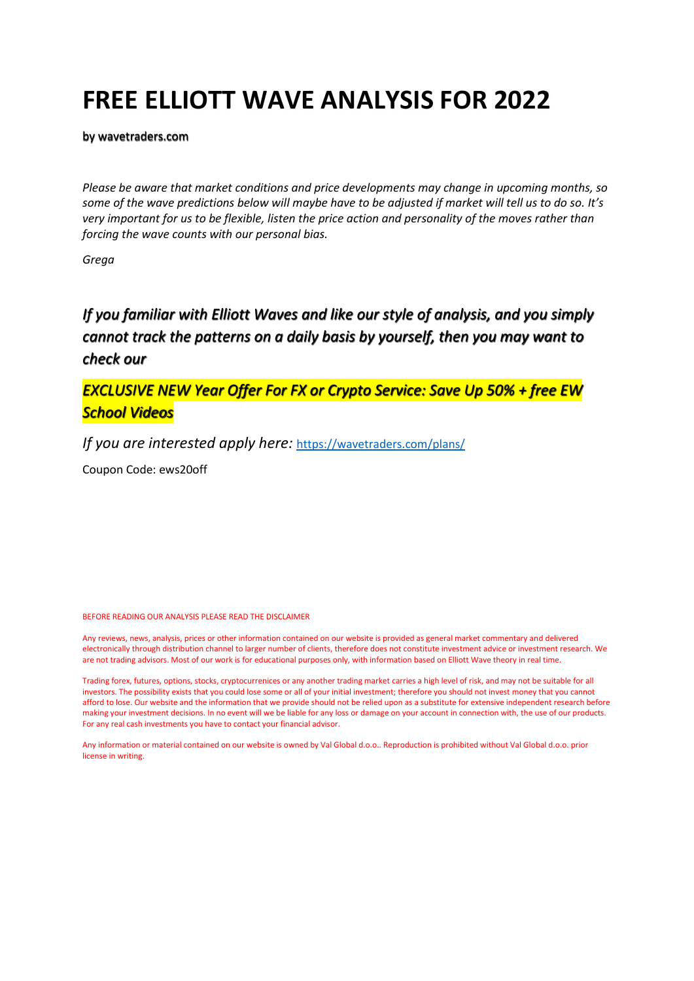# **FREE ELLIOTT WAVE ANALYSIS FOR 2022**

by wavetraders.com

*Please be aware that market conditions and price developments may change in upcoming months, so some of the wave predictions below will maybe have to be adjusted if market will tell us to do so. It's very important for us to be flexible, listen the price action and personality of the moves rather than forcing the wave counts with our personal bias.*

*Grega*

*If you familiar with Elliott Waves and like our style of analysis, and you simply cannot track the patterns on a daily basis by yourself, then you may want to check our* 

*EXCLUSIVE NEW Year Offer For FX or Crypto Service: Save Up 50% + free EW School Videos* 

*If you are interested apply here:* <https://wavetraders.com/plans/>

Coupon Code: ews20off

BEFORE READING OUR ANALYSIS PLEASE READ THE DISCLAIMER

Any reviews, news, analysis, prices or other information contained on our website is provided as general market commentary and delivered electronically through distribution channel to larger number of clients, therefore does not constitute investment advice or investment research. We are not trading advisors. Most of our work is for educational purposes only, with information based on Elliott Wave theory in real time.

Trading forex, futures, options, stocks, cryptocurrenices or any another trading market carries a high level of risk, and may not be suitable for all investors. The possibility exists that you could lose some or all of your initial investment; therefore you should not invest money that you cannot afford to lose. Our website and the information that we provide should not be relied upon as a substitute for extensive independent research before making your investment decisions. In no event will we be liable for any loss or damage on your account in connection with, the use of our products. For any real cash investments you have to contact your financial advisor.

Any information or material contained on our website is owned by Val Global d.o.o.. Reproduction is prohibited without Val Global d.o.o. prior license in writing.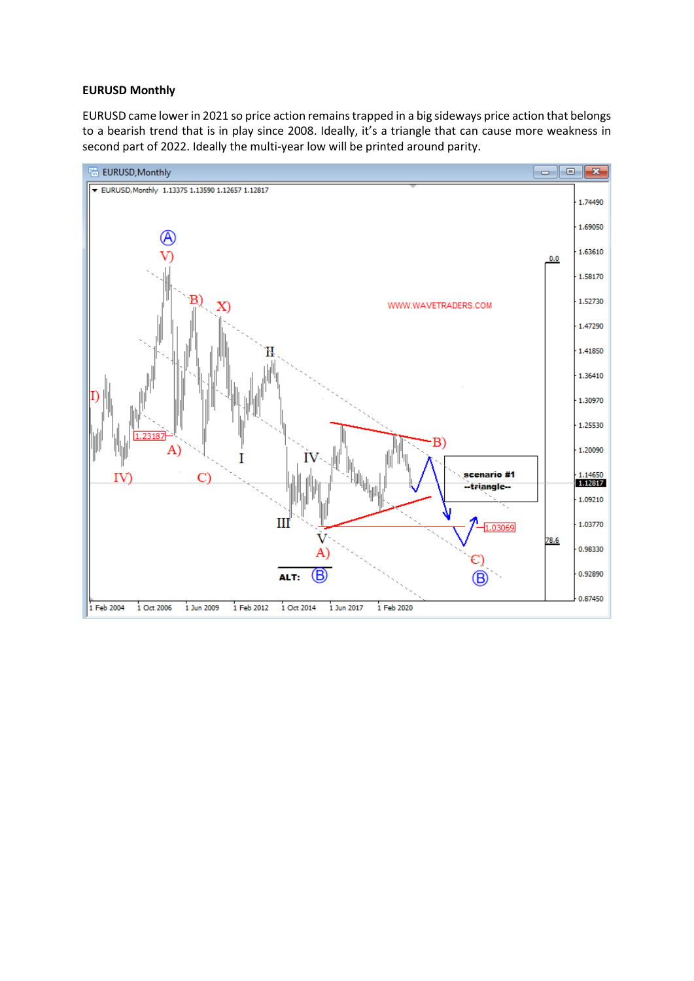#### **EURUSD Monthly**

EURUSD came lower in 2021 so price action remains trapped in a big sideways price action that belongs to a bearish trend that is in play since 2008. Ideally, it's a triangle that can cause more weakness in second part of 2022. Ideally the multi-year low will be printed around parity.

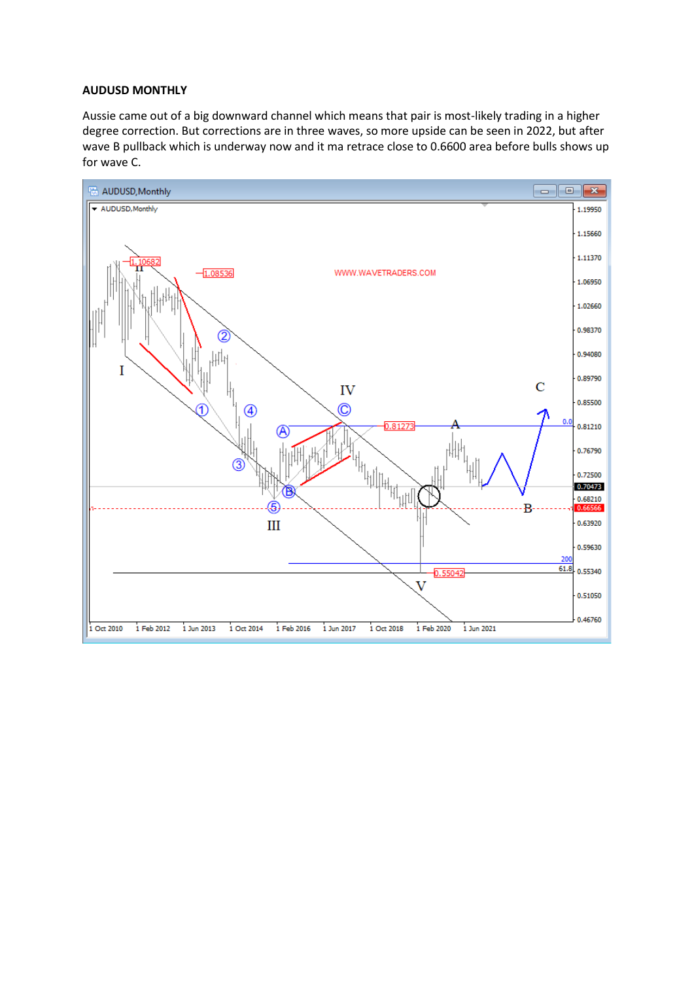### **AUDUSD MONTHLY**

Aussie came out of a big downward channel which means that pair is most-likely trading in a higher degree correction. But corrections are in three waves, so more upside can be seen in 2022, but after wave B pullback which is underway now and it ma retrace close to 0.6600 area before bulls shows up for wave C.

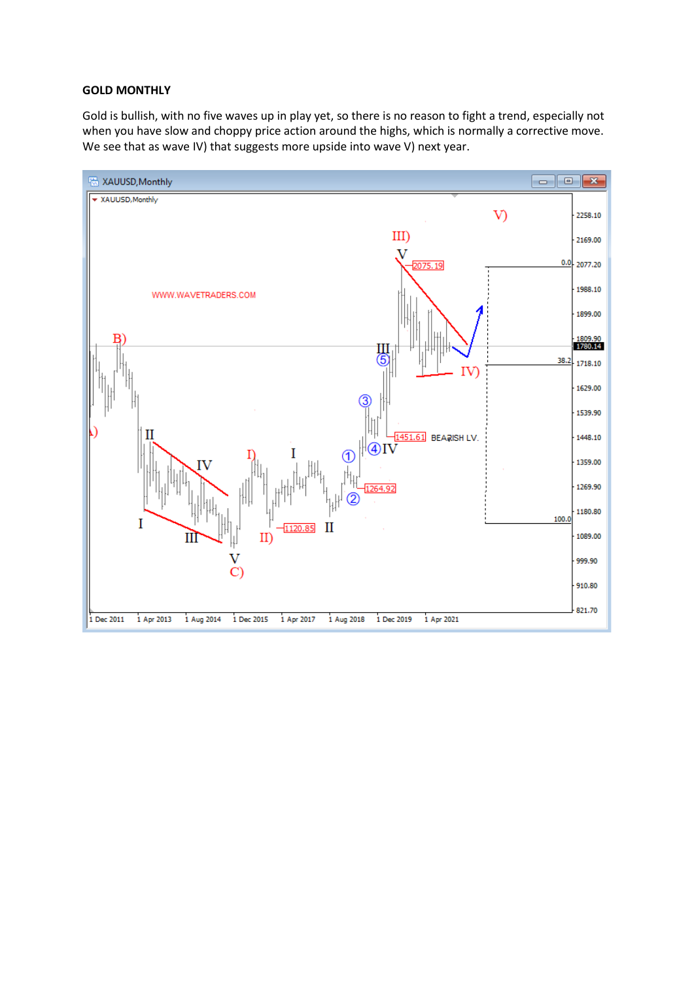#### **GOLD MONTHLY**

Gold is bullish, with no five waves up in play yet, so there is no reason to fight a trend, especially not when you have slow and choppy price action around the highs, which is normally a corrective move. We see that as wave IV) that suggests more upside into wave V) next year.

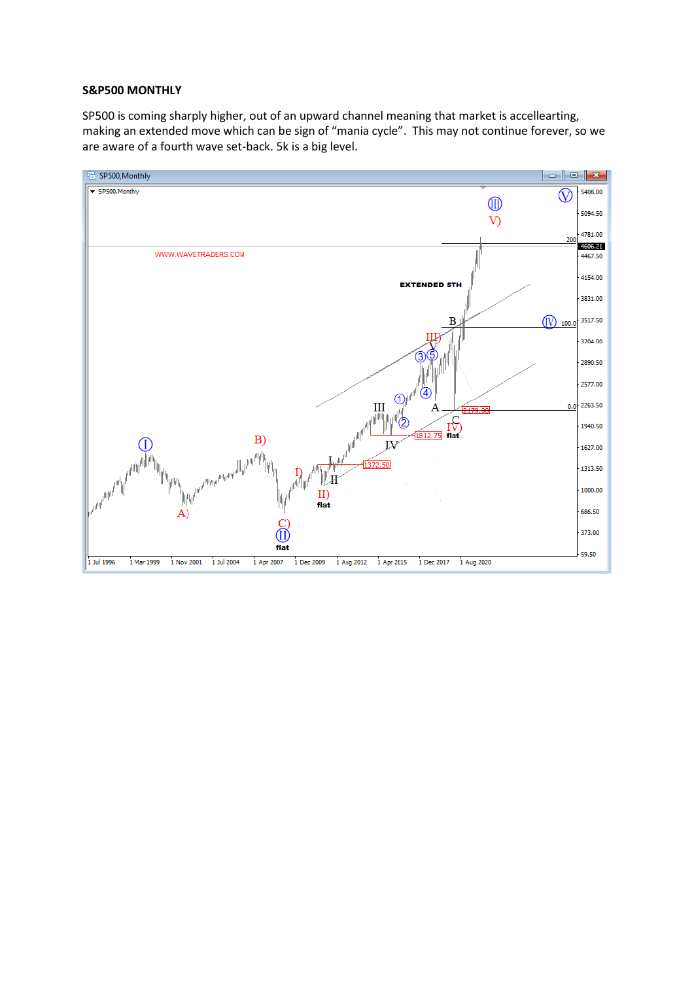## **S&P500 MONTHLY**

SP500 is coming sharply higher, out of an upward channel meaning that market is accellearting, making an extended move which can be sign of "mania cycle". This may not continue forever, so we are aware of a fourth wave set-back. 5k is a big level.

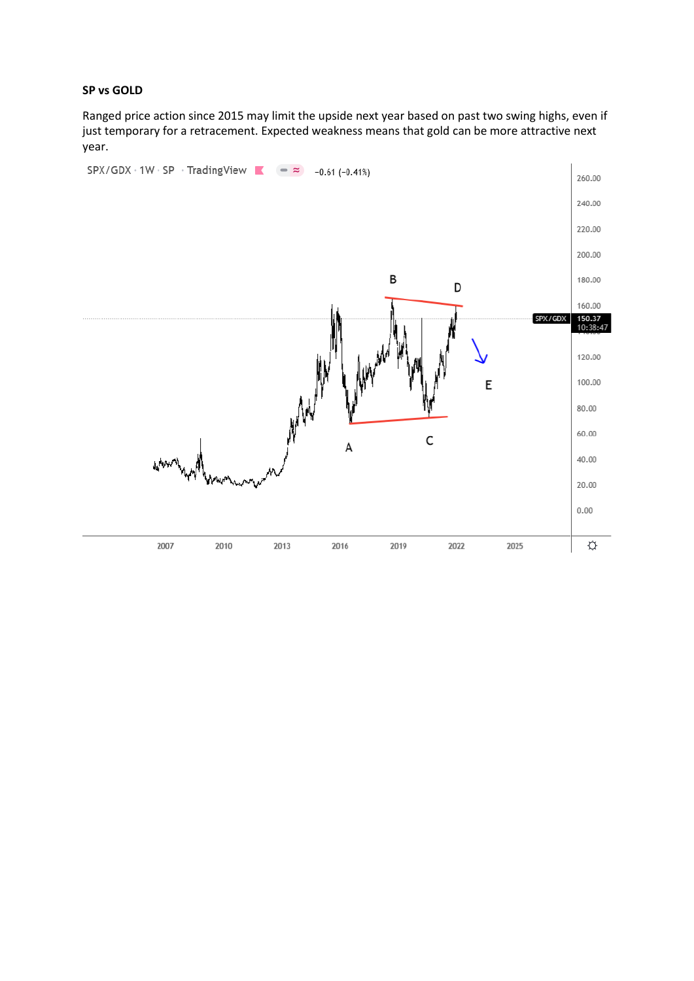## **SP vs GOLD**

Ranged price action since 2015 may limit the upside next year based on past two swing highs, even if just temporary for a retracement. Expected weakness means that gold can be more attractive next year.

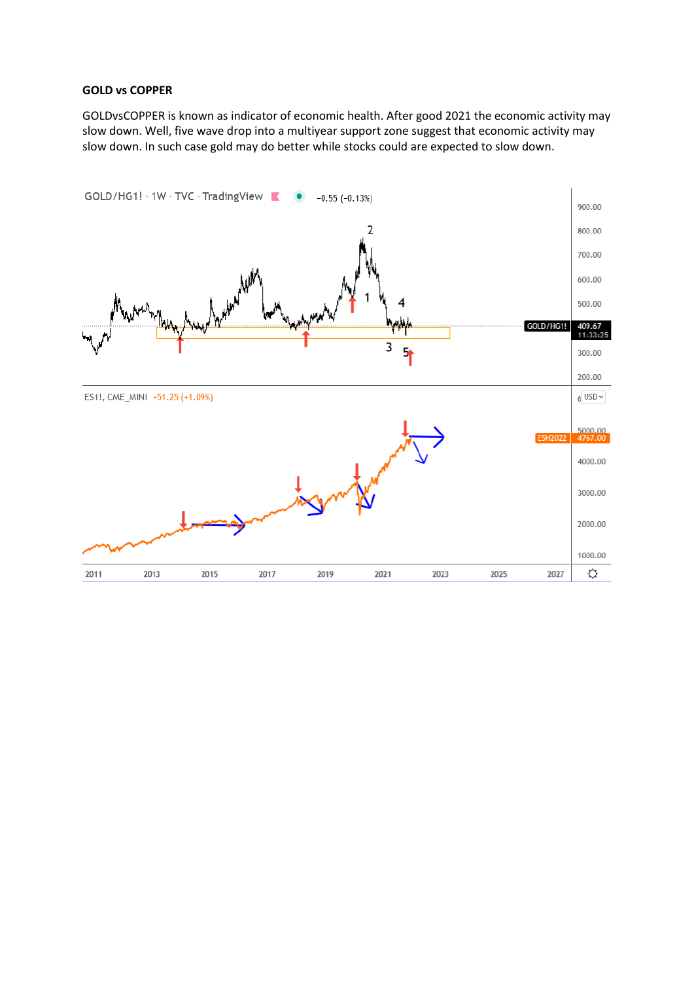# **GOLD vs COPPER**

GOLDvsCOPPER is known as indicator of economic health. After good 2021 the economic activity may slow down. Well, five wave drop into a multiyear support zone suggest that economic activity may slow down. In such case gold may do better while stocks could are expected to slow down.

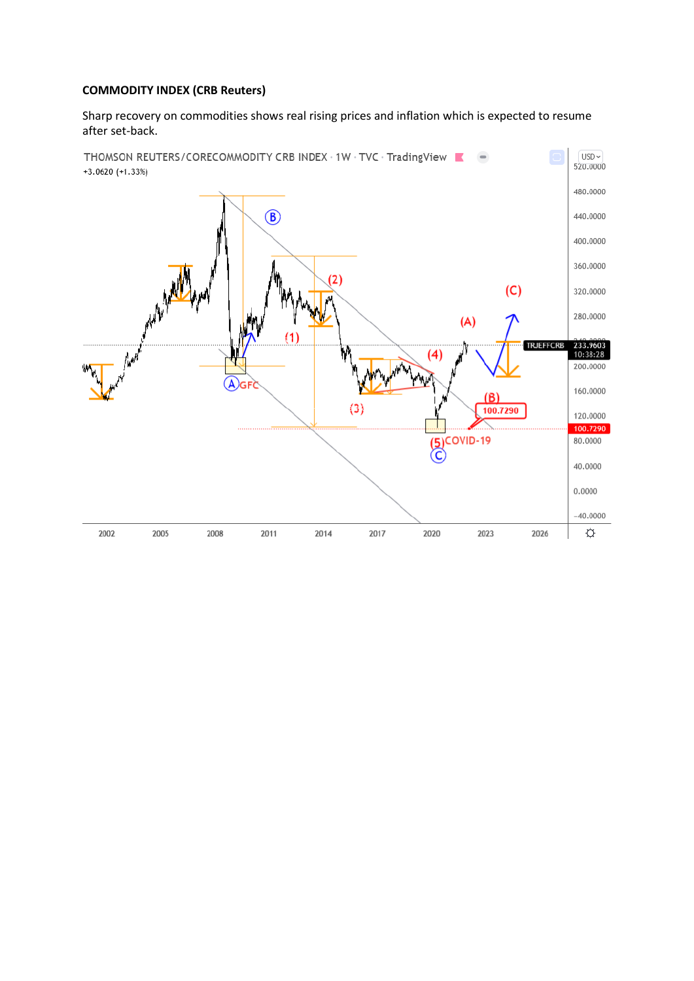# **COMMODITY INDEX (CRB Reuters)**

Sharp recovery on commodities shows real rising prices and inflation which is expected to resume after set-back.

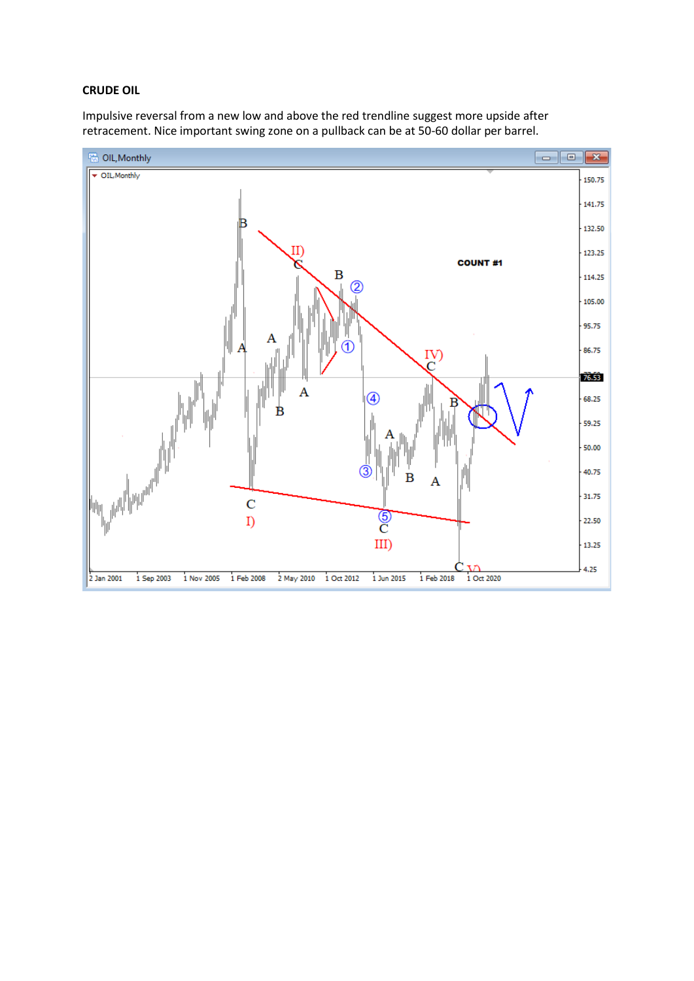# **CRUDE OIL**

Impulsive reversal from a new low and above the red trendline suggest more upside after retracement. Nice important swing zone on a pullback can be at 50-60 dollar per barrel.